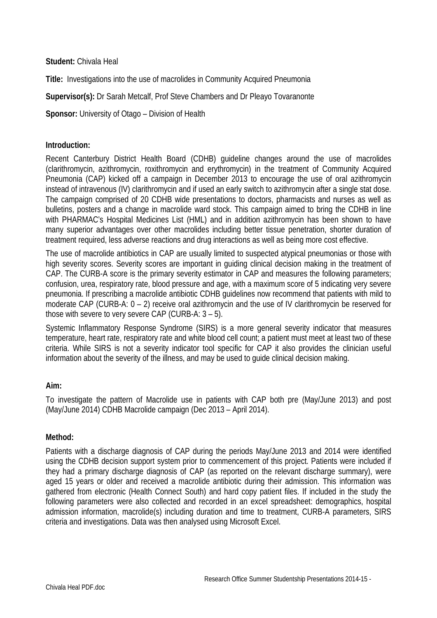**Student:** Chivala Heal

**Title:** Investigations into the use of macrolides in Community Acquired Pneumonia

**Supervisor(s):** Dr Sarah Metcalf, Prof Steve Chambers and Dr Pleayo Tovaranonte

**Sponsor:** University of Otago – Division of Health

## **Introduction:**

Recent Canterbury District Health Board (CDHB) guideline changes around the use of macrolides (clarithromycin, azithromycin, roxithromycin and erythromycin) in the treatment of Community Acquired Pneumonia (CAP) kicked off a campaign in December 2013 to encourage the use of oral azithromycin instead of intravenous (IV) clarithromycin and if used an early switch to azithromycin after a single stat dose. The campaign comprised of 20 CDHB wide presentations to doctors, pharmacists and nurses as well as bulletins, posters and a change in macrolide ward stock. This campaign aimed to bring the CDHB in line with PHARMAC's Hospital Medicines List (HML) and in addition azithromycin has been shown to have many superior advantages over other macrolides including better tissue penetration, shorter duration of treatment required, less adverse reactions and drug interactions as well as being more cost effective.

The use of macrolide antibiotics in CAP are usually limited to suspected atypical pneumonias or those with high severity scores. Severity scores are important in guiding clinical decision making in the treatment of CAP. The CURB-A score is the primary severity estimator in CAP and measures the following parameters; confusion, urea, respiratory rate, blood pressure and age, with a maximum score of 5 indicating very severe pneumonia. If prescribing a macrolide antibiotic CDHB guidelines now recommend that patients with mild to moderate CAP (CURB-A: 0 – 2) receive oral azithromycin and the use of IV clarithromycin be reserved for those with severe to very severe CAP (CURB-A: 3 – 5).

Systemic Inflammatory Response Syndrome (SIRS) is a more general severity indicator that measures temperature, heart rate, respiratory rate and white blood cell count; a patient must meet at least two of these criteria. While SIRS is not a severity indicator tool specific for CAP it also provides the clinician useful information about the severity of the illness, and may be used to guide clinical decision making.

### **Aim:**

To investigate the pattern of Macrolide use in patients with CAP both pre (May/June 2013) and post (May/June 2014) CDHB Macrolide campaign (Dec 2013 – April 2014).

### **Method:**

Patients with a discharge diagnosis of CAP during the periods May/June 2013 and 2014 were identified using the CDHB decision support system prior to commencement of this project. Patients were included if they had a primary discharge diagnosis of CAP (as reported on the relevant discharge summary), were aged 15 years or older and received a macrolide antibiotic during their admission. This information was gathered from electronic (Health Connect South) and hard copy patient files. If included in the study the following parameters were also collected and recorded in an excel spreadsheet: demographics, hospital admission information, macrolide(s) including duration and time to treatment, CURB-A parameters, SIRS criteria and investigations. Data was then analysed using Microsoft Excel.